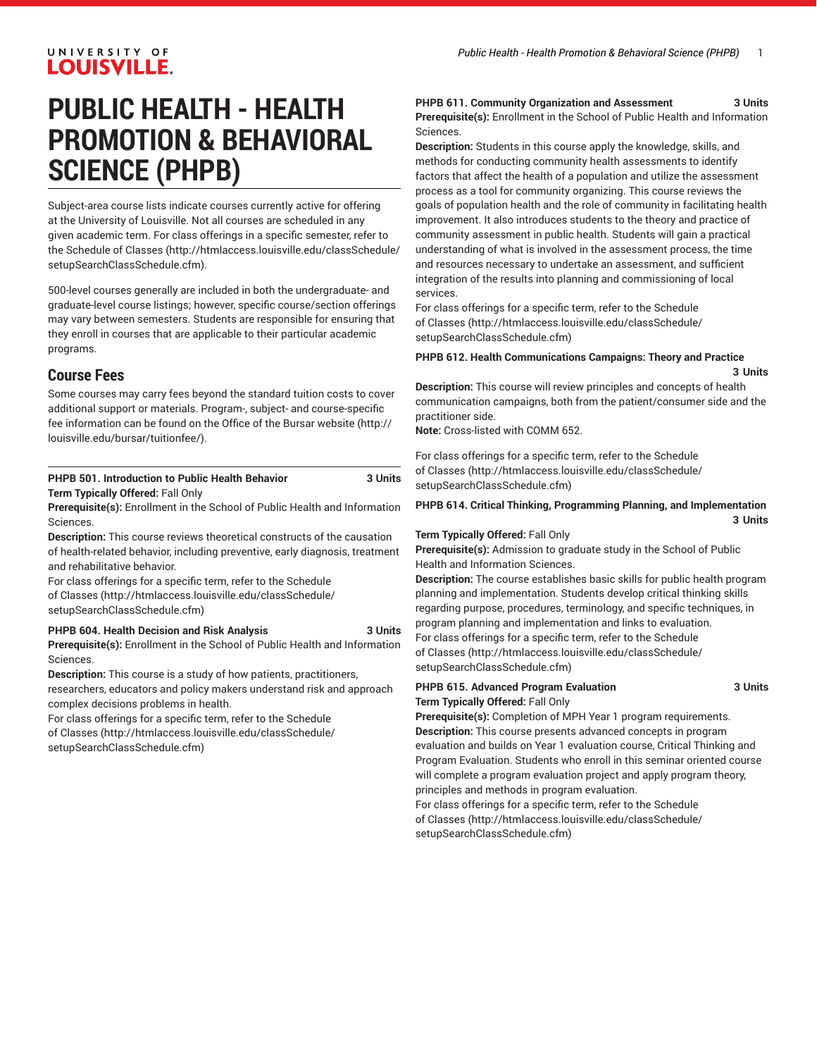### UNIVERSITY OF **LOUISVILLE.**

# **PUBLIC HEALTH - HEALTH PROMOTION & BEHAVIORAL SCIENCE (PHPB)**

Subject-area course lists indicate courses currently active for offering at the University of Louisville. Not all courses are scheduled in any given academic term. For class offerings in a specific semester, refer to the [Schedule of Classes](http://htmlaccess.louisville.edu/classSchedule/setupSearchClassSchedule.cfm) ([http://htmlaccess.louisville.edu/classSchedule/](http://htmlaccess.louisville.edu/classSchedule/setupSearchClassSchedule.cfm) [setupSearchClassSchedule.cfm\)](http://htmlaccess.louisville.edu/classSchedule/setupSearchClassSchedule.cfm).

500-level courses generally are included in both the undergraduate- and graduate-level course listings; however, specific course/section offerings may vary between semesters. Students are responsible for ensuring that they enroll in courses that are applicable to their particular academic programs.

### **Course Fees**

Some courses may carry fees beyond the standard tuition costs to cover additional support or materials. Program-, subject- and course-specific fee information can be found on the [Office of the Bursar website](http://louisville.edu/bursar/tuitionfee/) ([http://](http://louisville.edu/bursar/tuitionfee/) [louisville.edu/bursar/tuitionfee/](http://louisville.edu/bursar/tuitionfee/)).

### **PHPB 501. Introduction to Public Health Behavior 3 Units Term Typically Offered:** Fall Only

**Prerequisite(s):** Enrollment in the School of Public Health and Information Sciences.

**Description:** This course reviews theoretical constructs of the causation of health-related behavior, including preventive, early diagnosis, treatment and rehabilitative behavior.

For class offerings for a specific term, refer to the [Schedule](http://htmlaccess.louisville.edu/classSchedule/setupSearchClassSchedule.cfm) [of Classes \(http://htmlaccess.louisville.edu/classSchedule/](http://htmlaccess.louisville.edu/classSchedule/setupSearchClassSchedule.cfm) [setupSearchClassSchedule.cfm\)](http://htmlaccess.louisville.edu/classSchedule/setupSearchClassSchedule.cfm)

### **PHPB 604. Health Decision and Risk Analysis 3 Units**

**Prerequisite(s):** Enrollment in the School of Public Health and Information Sciences.

**Description:** This course is a study of how patients, practitioners, researchers, educators and policy makers understand risk and approach complex decisions problems in health.

For class offerings for a specific term, refer to the [Schedule](http://htmlaccess.louisville.edu/classSchedule/setupSearchClassSchedule.cfm) [of Classes \(http://htmlaccess.louisville.edu/classSchedule/](http://htmlaccess.louisville.edu/classSchedule/setupSearchClassSchedule.cfm) [setupSearchClassSchedule.cfm\)](http://htmlaccess.louisville.edu/classSchedule/setupSearchClassSchedule.cfm)

### **PHPB 611. Community Organization and Assessment 3 Units**

**Prerequisite(s):** Enrollment in the School of Public Health and Information Sciences.

**Description:** Students in this course apply the knowledge, skills, and methods for conducting community health assessments to identify factors that affect the health of a population and utilize the assessment process as a tool for community organizing. This course reviews the goals of population health and the role of community in facilitating health improvement. It also introduces students to the theory and practice of community assessment in public health. Students will gain a practical understanding of what is involved in the assessment process, the time and resources necessary to undertake an assessment, and sufficient integration of the results into planning and commissioning of local services.

For class offerings for a specific term, refer to the [Schedule](http://htmlaccess.louisville.edu/classSchedule/setupSearchClassSchedule.cfm) [of Classes](http://htmlaccess.louisville.edu/classSchedule/setupSearchClassSchedule.cfm) ([http://htmlaccess.louisville.edu/classSchedule/](http://htmlaccess.louisville.edu/classSchedule/setupSearchClassSchedule.cfm) [setupSearchClassSchedule.cfm\)](http://htmlaccess.louisville.edu/classSchedule/setupSearchClassSchedule.cfm)

#### **PHPB 612. Health Communications Campaigns: Theory and Practice 3 Units**

**Description:** This course will review principles and concepts of health communication campaigns, both from the patient/consumer side and the practitioner side.

**Note:** Cross-listed with COMM 652.

For class offerings for a specific term, refer to the [Schedule](http://htmlaccess.louisville.edu/classSchedule/setupSearchClassSchedule.cfm) [of Classes](http://htmlaccess.louisville.edu/classSchedule/setupSearchClassSchedule.cfm) ([http://htmlaccess.louisville.edu/classSchedule/](http://htmlaccess.louisville.edu/classSchedule/setupSearchClassSchedule.cfm) [setupSearchClassSchedule.cfm\)](http://htmlaccess.louisville.edu/classSchedule/setupSearchClassSchedule.cfm)

### **PHPB 614. Critical Thinking, Programming Planning, and Implementation 3 Units**

### **Term Typically Offered:** Fall Only

**Prerequisite(s):** Admission to graduate study in the School of Public Health and Information Sciences.

**Description:** The course establishes basic skills for public health program planning and implementation. Students develop critical thinking skills regarding purpose, procedures, terminology, and specific techniques, in program planning and implementation and links to evaluation. For class offerings for a specific term, refer to the [Schedule](http://htmlaccess.louisville.edu/classSchedule/setupSearchClassSchedule.cfm) [of Classes](http://htmlaccess.louisville.edu/classSchedule/setupSearchClassSchedule.cfm) ([http://htmlaccess.louisville.edu/classSchedule/](http://htmlaccess.louisville.edu/classSchedule/setupSearchClassSchedule.cfm) [setupSearchClassSchedule.cfm\)](http://htmlaccess.louisville.edu/classSchedule/setupSearchClassSchedule.cfm)

### **PHPB 615. Advanced Program Evaluation 3 Units Term Typically Offered:** Fall Only

**Prerequisite(s):** Completion of MPH Year 1 program requirements. **Description:** This course presents advanced concepts in program evaluation and builds on Year 1 evaluation course, Critical Thinking and Program Evaluation. Students who enroll in this seminar oriented course will complete a program evaluation project and apply program theory, principles and methods in program evaluation.

For class offerings for a specific term, refer to the [Schedule](http://htmlaccess.louisville.edu/classSchedule/setupSearchClassSchedule.cfm) [of Classes](http://htmlaccess.louisville.edu/classSchedule/setupSearchClassSchedule.cfm) ([http://htmlaccess.louisville.edu/classSchedule/](http://htmlaccess.louisville.edu/classSchedule/setupSearchClassSchedule.cfm) [setupSearchClassSchedule.cfm\)](http://htmlaccess.louisville.edu/classSchedule/setupSearchClassSchedule.cfm)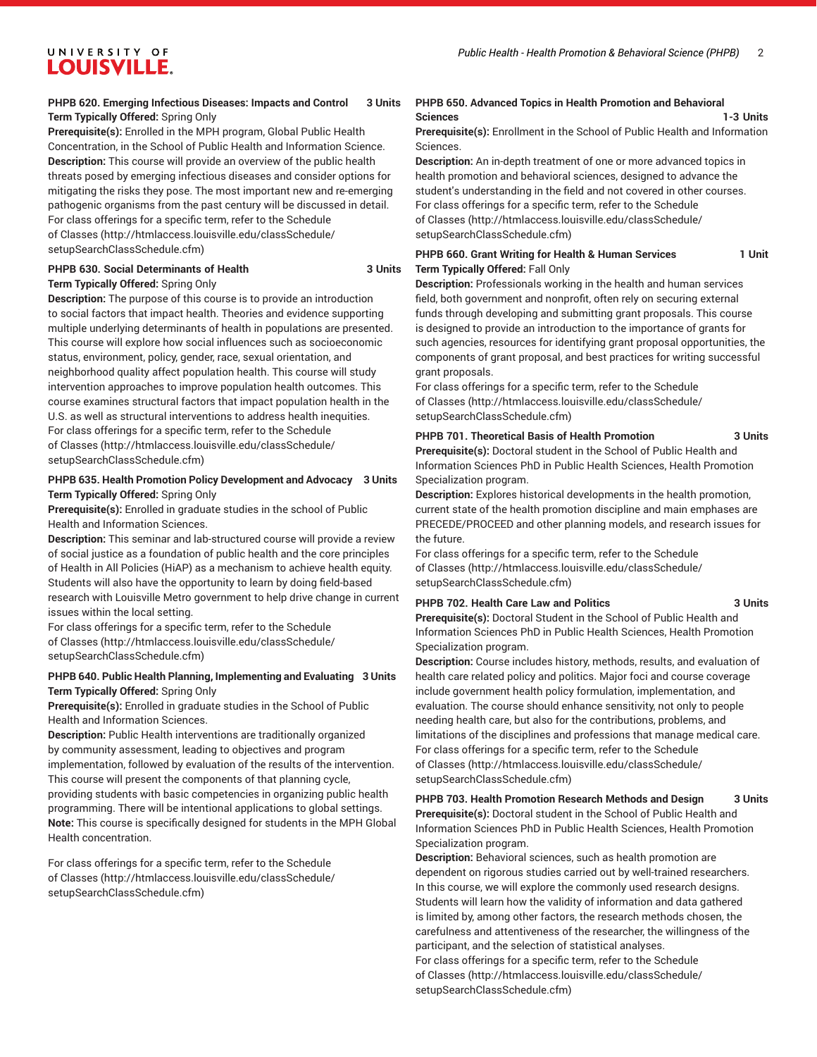### **PHPB 620. Emerging Infectious Diseases: Impacts and Control 3 Units Term Typically Offered:** Spring Only

**Prerequisite(s):** Enrolled in the MPH program, Global Public Health Concentration, in the School of Public Health and Information Science. **Description:** This course will provide an overview of the public health threats posed by emerging infectious diseases and consider options for mitigating the risks they pose. The most important new and re-emerging pathogenic organisms from the past century will be discussed in detail. For class offerings for a specific term, refer to the [Schedule](http://htmlaccess.louisville.edu/classSchedule/setupSearchClassSchedule.cfm) [of Classes \(http://htmlaccess.louisville.edu/classSchedule/](http://htmlaccess.louisville.edu/classSchedule/setupSearchClassSchedule.cfm) [setupSearchClassSchedule.cfm\)](http://htmlaccess.louisville.edu/classSchedule/setupSearchClassSchedule.cfm)

### **PHPB 630. Social Determinants of Health 3 Units Term Typically Offered:** Spring Only

**Description:** The purpose of this course is to provide an introduction to social factors that impact health. Theories and evidence supporting multiple underlying determinants of health in populations are presented. This course will explore how social influences such as socioeconomic status, environment, policy, gender, race, sexual orientation, and neighborhood quality affect population health. This course will study intervention approaches to improve population health outcomes. This course examines structural factors that impact population health in the U.S. as well as structural interventions to address health inequities. For class offerings for a specific term, refer to the [Schedule](http://htmlaccess.louisville.edu/classSchedule/setupSearchClassSchedule.cfm) [of Classes \(http://htmlaccess.louisville.edu/classSchedule/](http://htmlaccess.louisville.edu/classSchedule/setupSearchClassSchedule.cfm) [setupSearchClassSchedule.cfm\)](http://htmlaccess.louisville.edu/classSchedule/setupSearchClassSchedule.cfm)

### **PHPB 635. Health Promotion Policy Development and Advocacy 3 Units Term Typically Offered:** Spring Only

**Prerequisite(s):** Enrolled in graduate studies in the school of Public Health and Information Sciences.

**Description:** This seminar and lab-structured course will provide a review of social justice as a foundation of public health and the core principles of Health in All Policies (HiAP) as a mechanism to achieve health equity. Students will also have the opportunity to learn by doing field-based research with Louisville Metro government to help drive change in current issues within the local setting.

For class offerings for a specific term, refer to the [Schedule](http://htmlaccess.louisville.edu/classSchedule/setupSearchClassSchedule.cfm) [of Classes \(http://htmlaccess.louisville.edu/classSchedule/](http://htmlaccess.louisville.edu/classSchedule/setupSearchClassSchedule.cfm) [setupSearchClassSchedule.cfm\)](http://htmlaccess.louisville.edu/classSchedule/setupSearchClassSchedule.cfm)

### **PHPB 640. Public Health Planning, Implementing and Evaluating 3 Units Term Typically Offered:** Spring Only

**Prerequisite(s):** Enrolled in graduate studies in the School of Public Health and Information Sciences.

**Description:** Public Health interventions are traditionally organized by community assessment, leading to objectives and program implementation, followed by evaluation of the results of the intervention. This course will present the components of that planning cycle, providing students with basic competencies in organizing public health programming. There will be intentional applications to global settings. **Note:** This course is specifically designed for students in the MPH Global Health concentration.

For class offerings for a specific term, refer to the [Schedule](http://htmlaccess.louisville.edu/classSchedule/setupSearchClassSchedule.cfm) [of Classes \(http://htmlaccess.louisville.edu/classSchedule/](http://htmlaccess.louisville.edu/classSchedule/setupSearchClassSchedule.cfm) [setupSearchClassSchedule.cfm\)](http://htmlaccess.louisville.edu/classSchedule/setupSearchClassSchedule.cfm)

### **PHPB 650. Advanced Topics in Health Promotion and Behavioral Sciences 1-3 Units**

**Prerequisite(s):** Enrollment in the School of Public Health and Information Sciences.

**Description:** An in-depth treatment of one or more advanced topics in health promotion and behavioral sciences, designed to advance the student's understanding in the field and not covered in other courses. For class offerings for a specific term, refer to the [Schedule](http://htmlaccess.louisville.edu/classSchedule/setupSearchClassSchedule.cfm) [of Classes](http://htmlaccess.louisville.edu/classSchedule/setupSearchClassSchedule.cfm) ([http://htmlaccess.louisville.edu/classSchedule/](http://htmlaccess.louisville.edu/classSchedule/setupSearchClassSchedule.cfm) [setupSearchClassSchedule.cfm\)](http://htmlaccess.louisville.edu/classSchedule/setupSearchClassSchedule.cfm)

### **PHPB 660. Grant Writing for Health & Human Services 1 Unit Term Typically Offered:** Fall Only

**Description:** Professionals working in the health and human services field, both government and nonprofit, often rely on securing external funds through developing and submitting grant proposals. This course is designed to provide an introduction to the importance of grants for such agencies, resources for identifying grant proposal opportunities, the components of grant proposal, and best practices for writing successful grant proposals.

For class offerings for a specific term, refer to the [Schedule](http://htmlaccess.louisville.edu/classSchedule/setupSearchClassSchedule.cfm) [of Classes](http://htmlaccess.louisville.edu/classSchedule/setupSearchClassSchedule.cfm) ([http://htmlaccess.louisville.edu/classSchedule/](http://htmlaccess.louisville.edu/classSchedule/setupSearchClassSchedule.cfm) [setupSearchClassSchedule.cfm\)](http://htmlaccess.louisville.edu/classSchedule/setupSearchClassSchedule.cfm)

### **PHPB 701. Theoretical Basis of Health Promotion 3 Units**

**Prerequisite(s):** Doctoral student in the School of Public Health and Information Sciences PhD in Public Health Sciences, Health Promotion Specialization program.

**Description:** Explores historical developments in the health promotion, current state of the health promotion discipline and main emphases are PRECEDE/PROCEED and other planning models, and research issues for the future.

For class offerings for a specific term, refer to the [Schedule](http://htmlaccess.louisville.edu/classSchedule/setupSearchClassSchedule.cfm) [of Classes](http://htmlaccess.louisville.edu/classSchedule/setupSearchClassSchedule.cfm) ([http://htmlaccess.louisville.edu/classSchedule/](http://htmlaccess.louisville.edu/classSchedule/setupSearchClassSchedule.cfm) [setupSearchClassSchedule.cfm\)](http://htmlaccess.louisville.edu/classSchedule/setupSearchClassSchedule.cfm)

### **PHPB 702. Health Care Law and Politics 3 Units**

**Prerequisite(s):** Doctoral Student in the School of Public Health and Information Sciences PhD in Public Health Sciences, Health Promotion Specialization program.

**Description:** Course includes history, methods, results, and evaluation of health care related policy and politics. Major foci and course coverage include government health policy formulation, implementation, and evaluation. The course should enhance sensitivity, not only to people needing health care, but also for the contributions, problems, and limitations of the disciplines and professions that manage medical care. For class offerings for a specific term, refer to the [Schedule](http://htmlaccess.louisville.edu/classSchedule/setupSearchClassSchedule.cfm) [of Classes](http://htmlaccess.louisville.edu/classSchedule/setupSearchClassSchedule.cfm) ([http://htmlaccess.louisville.edu/classSchedule/](http://htmlaccess.louisville.edu/classSchedule/setupSearchClassSchedule.cfm) [setupSearchClassSchedule.cfm\)](http://htmlaccess.louisville.edu/classSchedule/setupSearchClassSchedule.cfm)

**PHPB 703. Health Promotion Research Methods and Design 3 Units Prerequisite(s):** Doctoral student in the School of Public Health and Information Sciences PhD in Public Health Sciences, Health Promotion Specialization program.

**Description:** Behavioral sciences, such as health promotion are dependent on rigorous studies carried out by well-trained researchers. In this course, we will explore the commonly used research designs. Students will learn how the validity of information and data gathered is limited by, among other factors, the research methods chosen, the carefulness and attentiveness of the researcher, the willingness of the participant, and the selection of statistical analyses.

For class offerings for a specific term, refer to the [Schedule](http://htmlaccess.louisville.edu/classSchedule/setupSearchClassSchedule.cfm) [of Classes](http://htmlaccess.louisville.edu/classSchedule/setupSearchClassSchedule.cfm) ([http://htmlaccess.louisville.edu/classSchedule/](http://htmlaccess.louisville.edu/classSchedule/setupSearchClassSchedule.cfm) [setupSearchClassSchedule.cfm\)](http://htmlaccess.louisville.edu/classSchedule/setupSearchClassSchedule.cfm)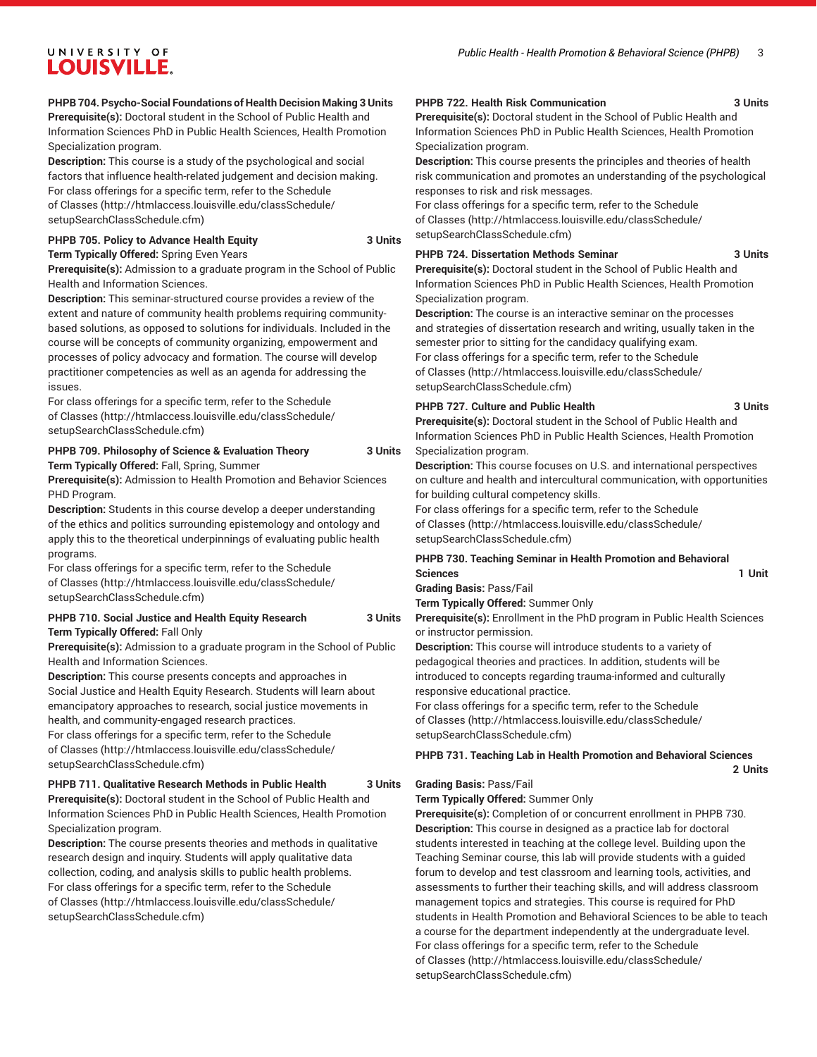### UNIVERSITY OF **LOUISVILLE.**

### **PHPB 704. Psycho-Social Foundations of Health Decision Making 3 Units**

**Prerequisite(s):** Doctoral student in the School of Public Health and Information Sciences PhD in Public Health Sciences, Health Promotion Specialization program.

**Description:** This course is a study of the psychological and social factors that influence health-related judgement and decision making. For class offerings for a specific term, refer to the [Schedule](http://htmlaccess.louisville.edu/classSchedule/setupSearchClassSchedule.cfm) [of Classes \(http://htmlaccess.louisville.edu/classSchedule/](http://htmlaccess.louisville.edu/classSchedule/setupSearchClassSchedule.cfm) [setupSearchClassSchedule.cfm\)](http://htmlaccess.louisville.edu/classSchedule/setupSearchClassSchedule.cfm)

### **PHPB 705. Policy to Advance Health Equity 3 Units Term Typically Offered:** Spring Even Years

**Prerequisite(s):** Admission to a graduate program in the School of Public Health and Information Sciences.

**Description:** This seminar-structured course provides a review of the extent and nature of community health problems requiring communitybased solutions, as opposed to solutions for individuals. Included in the course will be concepts of community organizing, empowerment and processes of policy advocacy and formation. The course will develop practitioner competencies as well as an agenda for addressing the issues.

For class offerings for a specific term, refer to the [Schedule](http://htmlaccess.louisville.edu/classSchedule/setupSearchClassSchedule.cfm) [of Classes \(http://htmlaccess.louisville.edu/classSchedule/](http://htmlaccess.louisville.edu/classSchedule/setupSearchClassSchedule.cfm) [setupSearchClassSchedule.cfm\)](http://htmlaccess.louisville.edu/classSchedule/setupSearchClassSchedule.cfm)

### **PHPB 709. Philosophy of Science & Evaluation Theory 3 Units Term Typically Offered:** Fall, Spring, Summer

**Prerequisite(s):** Admission to Health Promotion and Behavior Sciences PHD Program.

**Description:** Students in this course develop a deeper understanding of the ethics and politics surrounding epistemology and ontology and apply this to the theoretical underpinnings of evaluating public health programs.

For class offerings for a specific term, refer to the [Schedule](http://htmlaccess.louisville.edu/classSchedule/setupSearchClassSchedule.cfm) [of Classes \(http://htmlaccess.louisville.edu/classSchedule/](http://htmlaccess.louisville.edu/classSchedule/setupSearchClassSchedule.cfm) [setupSearchClassSchedule.cfm\)](http://htmlaccess.louisville.edu/classSchedule/setupSearchClassSchedule.cfm)

### **PHPB 710. Social Justice and Health Equity Research 3 Units Term Typically Offered:** Fall Only

**Prerequisite(s):** Admission to a graduate program in the School of Public Health and Information Sciences.

**Description:** This course presents concepts and approaches in Social Justice and Health Equity Research. Students will learn about emancipatory approaches to research, social justice movements in health, and community-engaged research practices.

For class offerings for a specific term, refer to the [Schedule](http://htmlaccess.louisville.edu/classSchedule/setupSearchClassSchedule.cfm) [of Classes \(http://htmlaccess.louisville.edu/classSchedule/](http://htmlaccess.louisville.edu/classSchedule/setupSearchClassSchedule.cfm) [setupSearchClassSchedule.cfm\)](http://htmlaccess.louisville.edu/classSchedule/setupSearchClassSchedule.cfm)

## **PHPB 711. Qualitative Research Methods in Public Health 3 Units**

**Prerequisite(s):** Doctoral student in the School of Public Health and Information Sciences PhD in Public Health Sciences, Health Promotion Specialization program.

**Description:** The course presents theories and methods in qualitative research design and inquiry. Students will apply qualitative data collection, coding, and analysis skills to public health problems. For class offerings for a specific term, refer to the [Schedule](http://htmlaccess.louisville.edu/classSchedule/setupSearchClassSchedule.cfm) [of Classes \(http://htmlaccess.louisville.edu/classSchedule/](http://htmlaccess.louisville.edu/classSchedule/setupSearchClassSchedule.cfm) [setupSearchClassSchedule.cfm\)](http://htmlaccess.louisville.edu/classSchedule/setupSearchClassSchedule.cfm)

#### **PHPB 722. Health Risk Communication 3 Units**

**Prerequisite(s):** Doctoral student in the School of Public Health and Information Sciences PhD in Public Health Sciences, Health Promotion Specialization program.

**Description:** This course presents the principles and theories of health risk communication and promotes an understanding of the psychological responses to risk and risk messages.

For class offerings for a specific term, refer to the [Schedule](http://htmlaccess.louisville.edu/classSchedule/setupSearchClassSchedule.cfm) [of Classes](http://htmlaccess.louisville.edu/classSchedule/setupSearchClassSchedule.cfm) ([http://htmlaccess.louisville.edu/classSchedule/](http://htmlaccess.louisville.edu/classSchedule/setupSearchClassSchedule.cfm) [setupSearchClassSchedule.cfm\)](http://htmlaccess.louisville.edu/classSchedule/setupSearchClassSchedule.cfm)

### **PHPB 724. Dissertation Methods Seminar 3 Units**

**Prerequisite(s):** Doctoral student in the School of Public Health and Information Sciences PhD in Public Health Sciences, Health Promotion Specialization program.

**Description:** The course is an interactive seminar on the processes and strategies of dissertation research and writing, usually taken in the semester prior to sitting for the candidacy qualifying exam. For class offerings for a specific term, refer to the [Schedule](http://htmlaccess.louisville.edu/classSchedule/setupSearchClassSchedule.cfm) [of Classes](http://htmlaccess.louisville.edu/classSchedule/setupSearchClassSchedule.cfm) ([http://htmlaccess.louisville.edu/classSchedule/](http://htmlaccess.louisville.edu/classSchedule/setupSearchClassSchedule.cfm) [setupSearchClassSchedule.cfm\)](http://htmlaccess.louisville.edu/classSchedule/setupSearchClassSchedule.cfm)

### **PHPB 727. Culture and Public Health 3 Units**

**Prerequisite(s):** Doctoral student in the School of Public Health and Information Sciences PhD in Public Health Sciences, Health Promotion Specialization program.

**Description:** This course focuses on U.S. and international perspectives on culture and health and intercultural communication, with opportunities for building cultural competency skills.

For class offerings for a specific term, refer to the [Schedule](http://htmlaccess.louisville.edu/classSchedule/setupSearchClassSchedule.cfm) [of Classes](http://htmlaccess.louisville.edu/classSchedule/setupSearchClassSchedule.cfm) ([http://htmlaccess.louisville.edu/classSchedule/](http://htmlaccess.louisville.edu/classSchedule/setupSearchClassSchedule.cfm) [setupSearchClassSchedule.cfm\)](http://htmlaccess.louisville.edu/classSchedule/setupSearchClassSchedule.cfm)

### **PHPB 730. Teaching Seminar in Health Promotion and Behavioral Sciences 1 Unit**

**Grading Basis:** Pass/Fail **Term Typically Offered:** Summer Only

**Prerequisite(s):** Enrollment in the PhD program in Public Health Sciences or instructor permission.

**Description:** This course will introduce students to a variety of pedagogical theories and practices. In addition, students will be introduced to concepts regarding trauma-informed and culturally responsive educational practice.

For class offerings for a specific term, refer to the [Schedule](http://htmlaccess.louisville.edu/classSchedule/setupSearchClassSchedule.cfm) [of Classes](http://htmlaccess.louisville.edu/classSchedule/setupSearchClassSchedule.cfm) ([http://htmlaccess.louisville.edu/classSchedule/](http://htmlaccess.louisville.edu/classSchedule/setupSearchClassSchedule.cfm) [setupSearchClassSchedule.cfm\)](http://htmlaccess.louisville.edu/classSchedule/setupSearchClassSchedule.cfm)

### **PHPB 731. Teaching Lab in Health Promotion and Behavioral Sciences**

**2 Units**

#### **Grading Basis:** Pass/Fail **Term Typically Offered:** Summer Only

**Prerequisite(s):** Completion of or concurrent enrollment in PHPB 730. **Description:** This course in designed as a practice lab for doctoral students interested in teaching at the college level. Building upon the Teaching Seminar course, this lab will provide students with a guided forum to develop and test classroom and learning tools, activities, and assessments to further their teaching skills, and will address classroom management topics and strategies. This course is required for PhD students in Health Promotion and Behavioral Sciences to be able to teach a course for the department independently at the undergraduate level. For class offerings for a specific term, refer to the [Schedule](http://htmlaccess.louisville.edu/classSchedule/setupSearchClassSchedule.cfm) [of Classes](http://htmlaccess.louisville.edu/classSchedule/setupSearchClassSchedule.cfm) ([http://htmlaccess.louisville.edu/classSchedule/](http://htmlaccess.louisville.edu/classSchedule/setupSearchClassSchedule.cfm) [setupSearchClassSchedule.cfm\)](http://htmlaccess.louisville.edu/classSchedule/setupSearchClassSchedule.cfm)